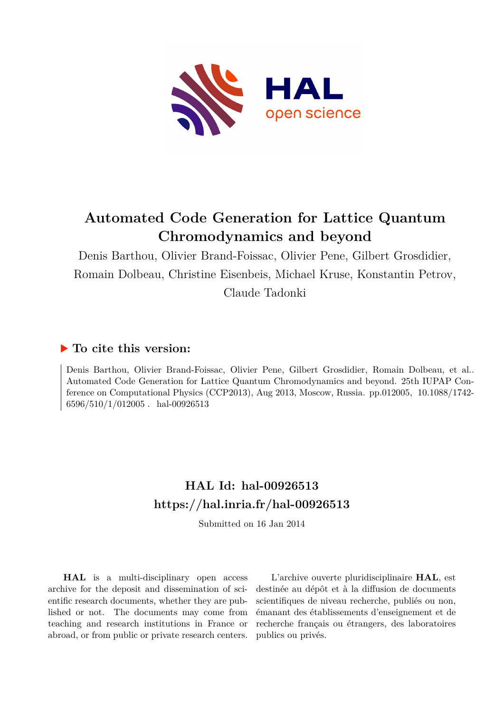

# **Automated Code Generation for Lattice Quantum Chromodynamics and beyond**

Denis Barthou, Olivier Brand-Foissac, Olivier Pene, Gilbert Grosdidier, Romain Dolbeau, Christine Eisenbeis, Michael Kruse, Konstantin Petrov, Claude Tadonki

### **To cite this version:**

Denis Barthou, Olivier Brand-Foissac, Olivier Pene, Gilbert Grosdidier, Romain Dolbeau, et al.. Automated Code Generation for Lattice Quantum Chromodynamics and beyond. 25th IUPAP Conference on Computational Physics (CCP2013), Aug 2013, Moscow, Russia. pp.012005,  $10.1088/1742$ - $6596/510/1/012005$ . hal-00926513

## **HAL Id: hal-00926513 <https://hal.inria.fr/hal-00926513>**

Submitted on 16 Jan 2014

**HAL** is a multi-disciplinary open access archive for the deposit and dissemination of scientific research documents, whether they are published or not. The documents may come from teaching and research institutions in France or abroad, or from public or private research centers.

L'archive ouverte pluridisciplinaire **HAL**, est destinée au dépôt et à la diffusion de documents scientifiques de niveau recherche, publiés ou non, émanant des établissements d'enseignement et de recherche français ou étrangers, des laboratoires publics ou privés.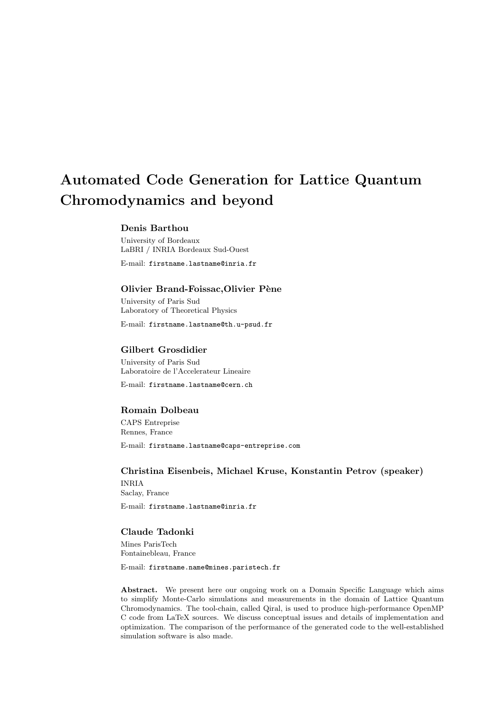# Automated Code Generation for Lattice Quantum Chromodynamics and beyond

#### Denis Barthou

University of Bordeaux LaBRI / INRIA Bordeaux Sud-Ouest

E-mail: firstname.lastname@inria.fr

#### Olivier Brand-Foissac, Olivier Pène

University of Paris Sud Laboratory of Theoretical Physics

E-mail: firstname.lastname@th.u-psud.fr

#### Gilbert Grosdidier

University of Paris Sud Laboratoire de l'Accelerateur Lineaire

E-mail: firstname.lastname@cern.ch

#### Romain Dolbeau

CAPS Entreprise Rennes, France E-mail: firstname.lastname@caps-entreprise.com

Christina Eisenbeis, Michael Kruse, Konstantin Petrov (speaker) INRIA Saclay, France

E-mail: firstname.lastname@inria.fr

#### Claude Tadonki

Mines ParisTech Fontainebleau, France

E-mail: firstname.name@mines.paristech.fr

Abstract. We present here our ongoing work on a Domain Specific Language which aims to simplify Monte-Carlo simulations and measurements in the domain of Lattice Quantum Chromodynamics. The tool-chain, called Qiral, is used to produce high-performance OpenMP C code from LaTeX sources. We discuss conceptual issues and details of implementation and optimization. The comparison of the performance of the generated code to the well-established simulation software is also made.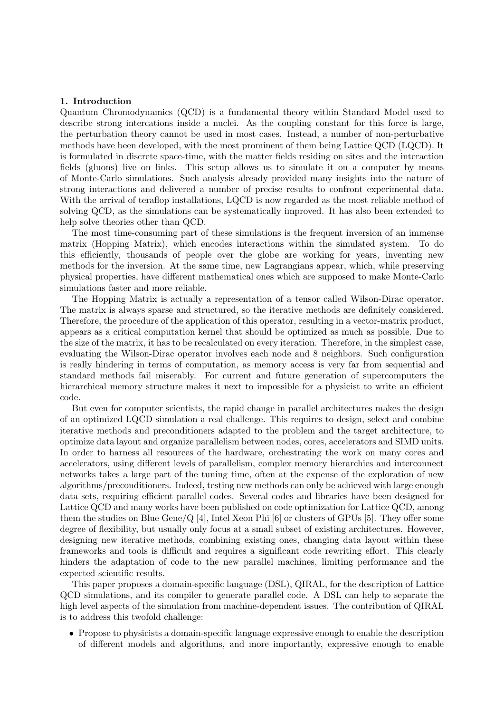#### 1. Introduction

Quantum Chromodynamics (QCD) is a fundamental theory within Standard Model used to describe strong intercations inside a nuclei. As the coupling constant for this force is large, the perturbation theory cannot be used in most cases. Instead, a number of non-perturbative methods have been developed, with the most prominent of them being Lattice QCD (LQCD). It is formulated in discrete space-time, with the matter fields residing on sites and the interaction fields (gluons) live on links. This setup allows us to simulate it on a computer by means of Monte-Carlo simulations. Such analysis already provided many insights into the nature of strong interactions and delivered a number of precise results to confront experimental data. With the arrival of teraflop installations, LQCD is now regarded as the most reliable method of solving QCD, as the simulations can be systematically improved. It has also been extended to help solve theories other than QCD.

The most time-consuming part of these simulations is the frequent inversion of an immense matrix (Hopping Matrix), which encodes interactions within the simulated system. To do this efficiently, thousands of people over the globe are working for years, inventing new methods for the inversion. At the same time, new Lagrangians appear, which, while preserving physical properties, have different mathematical ones which are supposed to make Monte-Carlo simulations faster and more reliable.

The Hopping Matrix is actually a representation of a tensor called Wilson-Dirac operator. The matrix is always sparse and structured, so the iterative methods are definitely considered. Therefore, the procedure of the application of this operator, resulting in a vector-matrix product, appears as a critical computation kernel that should be optimized as much as possible. Due to the size of the matrix, it has to be recalculated on every iteration. Therefore, in the simplest case, evaluating the Wilson-Dirac operator involves each node and 8 neighbors. Such configuration is really hindering in terms of computation, as memory access is very far from sequential and standard methods fail miserably. For current and future generation of supercomputers the hierarchical memory structure makes it next to impossible for a physicist to write an efficient code.

But even for computer scientists, the rapid change in parallel architectures makes the design of an optimized LQCD simulation a real challenge. This requires to design, select and combine iterative methods and preconditioners adapted to the problem and the target architecture, to optimize data layout and organize parallelism between nodes, cores, accelerators and SIMD units. In order to harness all resources of the hardware, orchestrating the work on many cores and accelerators, using different levels of parallelism, complex memory hierarchies and interconnect networks takes a large part of the tuning time, often at the expense of the exploration of new algorithms/preconditioners. Indeed, testing new methods can only be achieved with large enough data sets, requiring efficient parallel codes. Several codes and libraries have been designed for Lattice QCD and many works have been published on code optimization for Lattice QCD, among them the studies on Blue Gene/Q [4], Intel Xeon Phi [6] or clusters of GPUs [5]. They offer some degree of flexibility, but usually only focus at a small subset of existing architectures. However, designing new iterative methods, combining existing ones, changing data layout within these frameworks and tools is difficult and requires a significant code rewriting effort. This clearly hinders the adaptation of code to the new parallel machines, limiting performance and the expected scientific results.

This paper proposes a domain-specific language (DSL), QIRAL, for the description of Lattice QCD simulations, and its compiler to generate parallel code. A DSL can help to separate the high level aspects of the simulation from machine-dependent issues. The contribution of QIRAL is to address this twofold challenge:

• Propose to physicists a domain-specific language expressive enough to enable the description of different models and algorithms, and more importantly, expressive enough to enable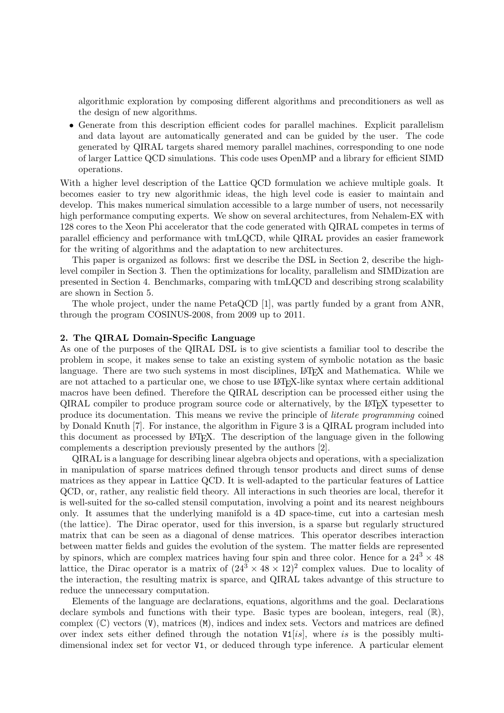algorithmic exploration by composing different algorithms and preconditioners as well as the design of new algorithms.

• Generate from this description efficient codes for parallel machines. Explicit parallelism and data layout are automatically generated and can be guided by the user. The code generated by QIRAL targets shared memory parallel machines, corresponding to one node of larger Lattice QCD simulations. This code uses OpenMP and a library for efficient SIMD operations.

With a higher level description of the Lattice QCD formulation we achieve multiple goals. It becomes easier to try new algorithmic ideas, the high level code is easier to maintain and develop. This makes numerical simulation accessible to a large number of users, not necessarily high performance computing experts. We show on several architectures, from Nehalem-EX with 128 cores to the Xeon Phi accelerator that the code generated with QIRAL competes in terms of parallel efficiency and performance with tmLQCD, while QIRAL provides an easier framework for the writing of algorithms and the adaptation to new architectures.

This paper is organized as follows: first we describe the DSL in Section 2, describe the highlevel compiler in Section 3. Then the optimizations for locality, parallelism and SIMDization are presented in Section 4. Benchmarks, comparing with tmLQCD and describing strong scalability are shown in Section 5.

The whole project, under the name PetaQCD [1], was partly funded by a grant from ANR, through the program COSINUS-2008, from 2009 up to 2011.

#### 2. The QIRAL Domain-Specific Language

As one of the purposes of the QIRAL DSL is to give scientists a familiar tool to describe the problem in scope, it makes sense to take an existing system of symbolic notation as the basic language. There are two such systems in most disciplines, LAT<sub>EX</sub> and Mathematica. While we are not attached to a particular one, we chose to use LAT<sub>EX</sub>-like syntax where certain additional macros have been defined. Therefore the QIRAL description can be processed either using the QIRAL compiler to produce program source code or alternatively, by the LATEX typesetter to produce its documentation. This means we revive the principle of literate programming coined by Donald Knuth [7]. For instance, the algorithm in Figure 3 is a QIRAL program included into this document as processed by LATEX. The description of the language given in the following complements a description previously presented by the authors [2].

QIRAL is a language for describing linear algebra objects and operations, with a specialization in manipulation of sparse matrices defined through tensor products and direct sums of dense matrices as they appear in Lattice QCD. It is well-adapted to the particular features of Lattice QCD, or, rather, any realistic field theory. All interactions in such theories are local, therefor it is well-suited for the so-called stensil computation, involving a point and its nearest neighbours only. It assumes that the underlying manifold is a 4D space-time, cut into a cartesian mesh (the lattice). The Dirac operator, used for this inversion, is a sparse but regularly structured matrix that can be seen as a diagonal of dense matrices. This operator describes interaction between matter fields and guides the evolution of the system. The matter fields are represented by spinors, which are complex matrices having four spin and three color. Hence for a  $24^3 \times 48$ lattice, the Dirac operator is a matrix of  $(24^3 \times 48 \times 12)^2$  complex values. Due to locality of the interaction, the resulting matrix is sparce, and QIRAL takes advantge of this structure to reduce the unnecessary computation.

Elements of the language are declarations, equations, algorithms and the goal. Declarations declare symbols and functions with their type. Basic types are boolean, integers, real  $(\mathbb{R})$ , complex  $(\mathbb{C})$  vectors  $(V)$ , matrices  $(M)$ , indices and index sets. Vectors and matrices are defined over index sets either defined through the notation  $V1[i]$ , where is is the possibly multidimensional index set for vector V1, or deduced through type inference. A particular element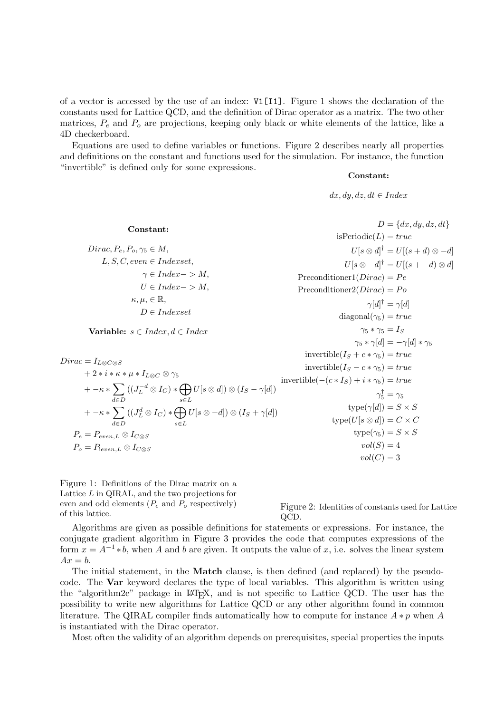of a vector is accessed by the use of an index: V1[I1]. Figure 1 shows the declaration of the constants used for Lattice QCD, and the definition of Dirac operator as a matrix. The two other matrices,  $P_e$  and  $P_o$  are projections, keeping only black or white elements of the lattice, like a 4D checkerboard.

Equations are used to define variables or functions. Figure 2 describes nearly all properties and definitions on the constant and functions used for the simulation. For instance, the function "invertible" is defined only for some expressions.

#### Constant:

 $dx, dy, dz, dt \in Index$ 

Constant:  $Dirac, P_e, P_o, \gamma_5 \in M$ ,  $L, S, C, even \in Index set,$  $\gamma \in Index->M,$  $U \in Index->M,$  $\kappa, \mu, \in \mathbb{R},$  $D \in Index set$ Variable:  $s \in Index, d \in Index$  $Dirac = I_{L\otimes C\otimes S}$  $+ 2 * i * \kappa * \mu * I_{L\otimes C} \otimes \gamma_5$  $+ -\kappa * \sum$ d∈D  $((J_L^{-d}\otimes I_C)*\bigoplus$ s∈L  $U[s \otimes d]) \otimes (I_S - \gamma[d])$  $+ -\kappa * \sum$ d∈D  $((J^d_L\otimes I_C)*\bigoplus$ s∈L  $U[s\otimes -d])\otimes (I_S+\gamma[d])$  $P_e = P_{even,L} \otimes I_{C \otimes S}$  $P_o = P_{[even,L]} \otimes I_{C \otimes S}$  $D = \{dx, dy, dz, dt\}$ isPeriodic( $L$ ) = true  $U[s \otimes d]^{\dagger} = U[(s+d) \otimes -d]$  $U[s \otimes -d]^{\dagger} = U[(s + -d) \otimes d]$ Preconditioner $1(Dirac) = Pe$ Preconditioner $2(Dirac) = Po$  $\gamma[d]^{\dagger} = \gamma[d]$  $diagonal(\gamma_5) = true$  $\gamma_5 * \gamma_5 = I_S$  $\gamma_5 * \gamma [d] = -\gamma [d] * \gamma_5$ invertible( $I_S + c * \gamma_5$ ) = true invertible( $I_S - c * \gamma_5$ ) = true invertible $(-(c * I_S) + i * \gamma_5) = true$  $\gamma_5^\dagger = \gamma_5$ type $(\gamma[d]) = S \times S$  $type(U[s \otimes d]) = C \times C$  $type(\gamma_5) = S \times S$  $vol(S) = 4$  $vol(C) = 3$ 

Figure 1: Definitions of the Dirac matrix on a Lattice  $L$  in QIRAL, and the two projections for even and odd elements  $(P_e \text{ and } P_o \text{ respectively})$ of this lattice.

Figure 2: Identities of constants used for Lattice QCD.

Algorithms are given as possible definitions for statements or expressions. For instance, the conjugate gradient algorithm in Figure 3 provides the code that computes expressions of the form  $x = A^{-1} * b$ , when A and b are given. It outputs the value of x, i.e. solves the linear system  $Ax = b$ .

The initial statement, in the **Match** clause, is then defined (and replaced) by the pseudocode. The Var keyword declares the type of local variables. This algorithm is written using the "algorithm2e" package in LAT<sub>EX</sub>, and is not specific to Lattice QCD. The user has the possibility to write new algorithms for Lattice QCD or any other algorithm found in common literature. The QIRAL compiler finds automatically how to compute for instance  $A * p$  when A is instantiated with the Dirac operator.

Most often the validity of an algorithm depends on prerequisites, special properties the inputs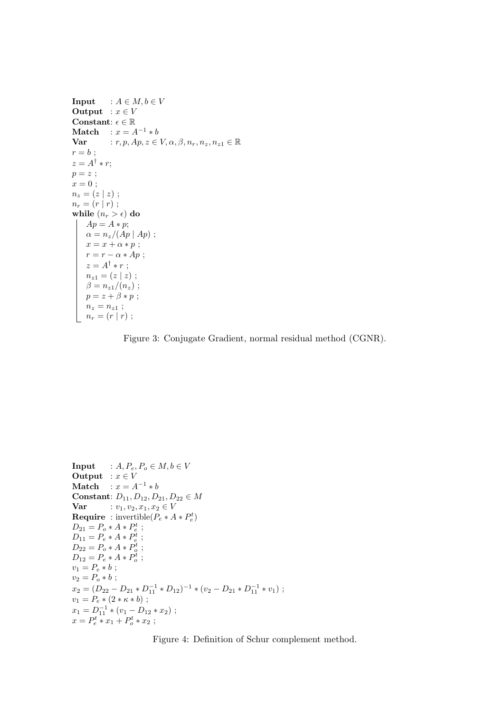```
Input : A \in M, b \in VOutput : x \in VConstant: \epsilon \in \mathbb{R}Match : x = A^{-1} * bVar : r, p, Ap, z \in V, \alpha, \beta, n_r, n_z, n_{z1} \in \mathbb{R}r = b;
z = A^{\dagger} * r;p = z;
x = 0;n_z = (z | z);n_r = (r | r);while (n_r > \epsilon) do
    Ap = A * p;\alpha = n_z/(Ap \mid Ap);
     x = x + \alpha * p;r = r - \alpha * Ap;z = A^{\dagger} * r;
     n_{z1} = (z | z) ;\beta = n_{z1}/(n_z);
     p = z + \beta * p;n_z = n_{z1};
    n_r = (r | r);
```
Figure 3: Conjugate Gradient, normal residual method (CGNR).

```
Input : A, P_e, P_o \in M, b \in VOutput : x \in VMatch : x = A^{-1} * bConstant: D_{11}, D_{12}, D_{21}, D_{22} \in MVar : v_1, v_2, x_1, x_2 \in VRequire : invertible(P_e * A * P_e^t)
D_{21} = P_o * A * P_e^t ;D_{11} = P_e * A * P_e^t ;D_{22} = P_o * A * P_o^t;
D_{12} = P_e * A * P_o^t;
v_1 = P_e * b;
v_2 = P_o * b;x_2 = (D_{22} - D_{21} * D_{11}^{-1} * D_{12})^{-1} * (v_2 - D_{21} * D_{11}^{-1} * v_1);v_1 = P_e * (2 * \kappa * b);
x_1 = D_{11}^{-1} * (v_1 - D_{12} * x_2);x = P_e^t * x_1 + P_o^t * x_2;
```
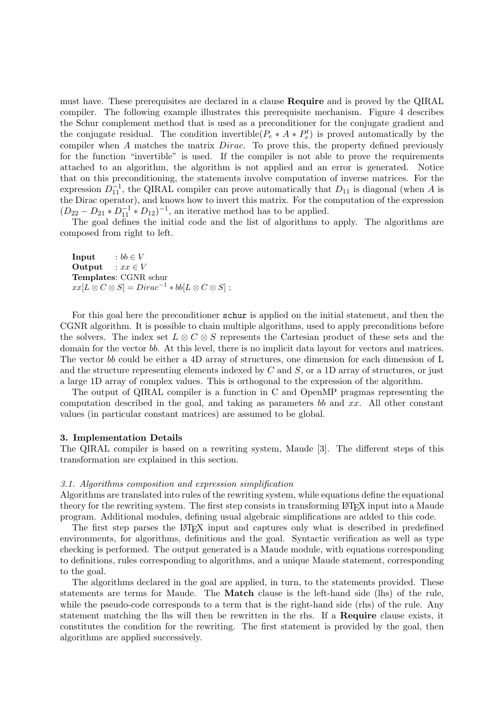must have. These prerequisites are declared in a clause Require and is proved by the QIRAL compiler. The following example illustrates this prerequisite mechanism. Figure 4 describes the Schur complement method that is used as a preconditioner for the conjugate gradient and the conjugate residual. The condition invertible( $P_e * A * P_e^t$ ) is proved automatically by the compiler when A matches the matrix *Dirac*. To prove this, the property defined previously for the function "invertible" is used. If the compiler is not able to prove the requirements attached to an algorithm, the algorithm is not applied and an error is generated. Notice that on this preconditioning, the statements involve computation of inverse matrices. For the expression  $D_{11}^{-1}$ , the QIRAL compiler can prove automatically that  $D_{11}$  is diagonal (when A is the Dirac operator), and knows how to invert this matrix. For the computation of the expression  $(D_{22} - D_{21} * D_{11}^{-1} * D_{12})^{-1}$ , an iterative method has to be applied.

The goal defines the initial code and the list of algorithms to apply. The algorithms are composed from right to left.

**Input** :  $bb \in V$ Output :  $xx \in V$ Templates: CGNR schur  $xx[L \otimes C \otimes S] = Dirac^{-1} * bb[L \otimes C \otimes S]$ ;

For this goal here the preconditioner schur is applied on the initial statement, and then the CGNR algorithm. It is possible to chain multiple algorithms, used to apply preconditions before the solvers. The index set  $L \otimes C \otimes S$  represents the Cartesian product of these sets and the domain for the vector bb. At this level, there is no implicit data layout for vectors and matrices. The vector bb could be either a 4D array of structures, one dimension for each dimension of L and the structure representing elements indexed by  $C$  and  $S$ , or a 1D array of structures, or just a large 1D array of complex values. This is orthogonal to the expression of the algorithm.

The output of QIRAL compiler is a function in C and OpenMP pragmas representing the computation described in the goal, and taking as parameters bb and  $xx$ . All other constant values (in particular constant matrices) are assumed to be global.

#### 3. Implementation Details

The QIRAL compiler is based on a rewriting system, Maude [3]. The different steps of this transformation are explained in this section.

#### 3.1. Algorithms composition and expression simplification

Algorithms are translated into rules of the rewriting system, while equations define the equational theory for the rewriting system. The first step consists in transforming LATEX input into a Maude program. Additional modules, defining usual algebraic simplifications are added to this code.

The first step parses the LATEX input and captures only what is described in predefined environments, for algorithms, definitions and the goal. Syntactic verification as well as type checking is performed. The output generated is a Maude module, with equations corresponding to definitions, rules corresponding to algorithms, and a unique Maude statement, corresponding to the goal.

The algorithms declared in the goal are applied, in turn, to the statements provided. These statements are terms for Maude. The Match clause is the left-hand side (lhs) of the rule, while the pseudo-code corresponds to a term that is the right-hand side (rhs) of the rule. Any statement matching the lhs will then be rewritten in the rhs. If a Require clause exists, it constitutes the condition for the rewriting. The first statement is provided by the goal, then algorithms are applied successively.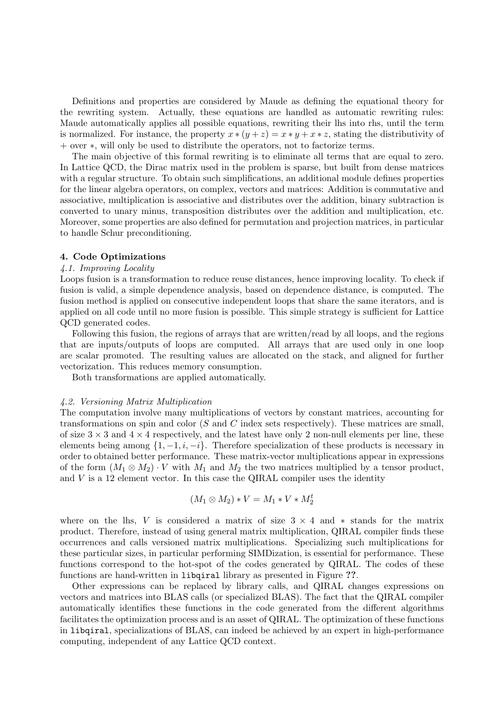Definitions and properties are considered by Maude as defining the equational theory for the rewriting system. Actually, these equations are handled as automatic rewriting rules: Maude automatically applies all possible equations, rewriting their lhs into rhs, until the term is normalized. For instance, the property  $x * (y + z) = x * y + x * z$ , stating the distributivity of + over ∗, will only be used to distribute the operators, not to factorize terms.

The main objective of this formal rewriting is to eliminate all terms that are equal to zero. In Lattice QCD, the Dirac matrix used in the problem is sparse, but built from dense matrices with a regular structure. To obtain such simplifications, an additional module defines properties for the linear algebra operators, on complex, vectors and matrices: Addition is commutative and associative, multiplication is associative and distributes over the addition, binary subtraction is converted to unary minus, transposition distributes over the addition and multiplication, etc. Moreover, some properties are also defined for permutation and projection matrices, in particular to handle Schur preconditioning.

#### 4. Code Optimizations

#### 4.1. Improving Locality

Loops fusion is a transformation to reduce reuse distances, hence improving locality. To check if fusion is valid, a simple dependence analysis, based on dependence distance, is computed. The fusion method is applied on consecutive independent loops that share the same iterators, and is applied on all code until no more fusion is possible. This simple strategy is sufficient for Lattice QCD generated codes.

Following this fusion, the regions of arrays that are written/read by all loops, and the regions that are inputs/outputs of loops are computed. All arrays that are used only in one loop are scalar promoted. The resulting values are allocated on the stack, and aligned for further vectorization. This reduces memory consumption.

Both transformations are applied automatically.

#### 4.2. Versioning Matrix Multiplication

The computation involve many multiplications of vectors by constant matrices, accounting for transformations on spin and color  $(S \text{ and } C \text{ index sets respectively})$ . These matrices are small, of size  $3 \times 3$  and  $4 \times 4$  respectively, and the latest have only 2 non-null elements per line, these elements being among  $\{1, -1, i, -i\}$ . Therefore specialization of these products is necessary in order to obtained better performance. These matrix-vector multiplications appear in expressions of the form  $(M_1 \otimes M_2) \cdot V$  with  $M_1$  and  $M_2$  the two matrices multiplied by a tensor product, and  $V$  is a 12 element vector. In this case the QIRAL compiler uses the identity

$$
(M_1 \otimes M_2) * V = M_1 * V * M_2^t
$$

where on the lhs, V is considered a matrix of size  $3 \times 4$  and  $*$  stands for the matrix product. Therefore, instead of using general matrix multiplication, QIRAL compiler finds these occurrences and calls versioned matrix multiplications. Specializing such multiplications for these particular sizes, in particular performing SIMDization, is essential for performance. These functions correspond to the hot-spot of the codes generated by QIRAL. The codes of these functions are hand-written in libqiral library as presented in Figure ??.

Other expressions can be replaced by library calls, and QIRAL changes expressions on vectors and matrices into BLAS calls (or specialized BLAS). The fact that the QIRAL compiler automatically identifies these functions in the code generated from the different algorithms facilitates the optimization process and is an asset of QIRAL. The optimization of these functions in libqiral, specializations of BLAS, can indeed be achieved by an expert in high-performance computing, independent of any Lattice QCD context.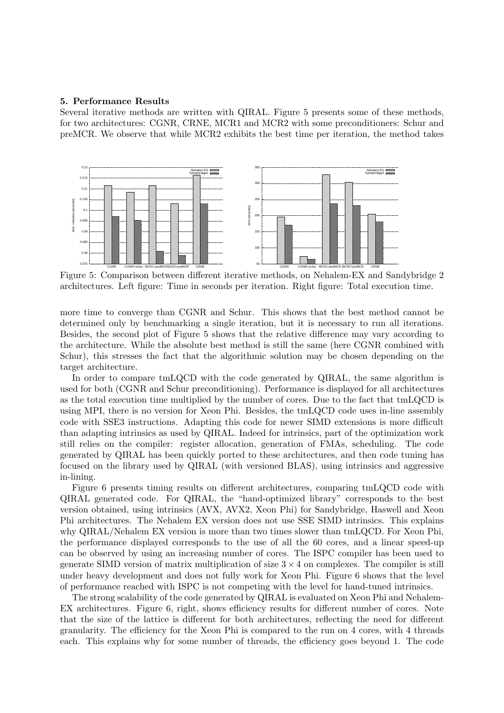#### 5. Performance Results

Several iterative methods are written with QIRAL. Figure 5 presents some of these methods, for two architectures: CGNR, CRNE, MCR1 and MCR2 with some preconditioners: Schur and preMCR. We observe that while MCR2 exhibits the best time per iteration, the method takes



Figure 5: Comparison between different iterative methods, on Nehalem-EX and Sandybridge 2 architectures. Left figure: Time in seconds per iteration. Right figure: Total execution time.

more time to converge than CGNR and Schur. This shows that the best method cannot be determined only by benchmarking a single iteration, but it is necessary to run all iterations. Besides, the second plot of Figure 5 shows that the relative difference may vary according to the architecture. While the absolute best method is still the same (here CGNR combined with Schur), this stresses the fact that the algorithmic solution may be chosen depending on the target architecture.

In order to compare tmLQCD with the code generated by QIRAL, the same algorithm is used for both (CGNR and Schur preconditioning). Performance is displayed for all architectures as the total execution time multiplied by the number of cores. Due to the fact that tmLQCD is using MPI, there is no version for Xeon Phi. Besides, the tmLQCD code uses in-line assembly code with SSE3 instructions. Adapting this code for newer SIMD extensions is more difficult than adapting intrinsics as used by QIRAL. Indeed for intrinsics, part of the optimization work still relies on the compiler: register allocation, generation of FMAs, scheduling. The code generated by QIRAL has been quickly ported to these architectures, and then code tuning has focused on the library used by QIRAL (with versioned BLAS), using intrinsics and aggressive in-lining.

Figure 6 presents timing results on different architectures, comparing tmLQCD code with QIRAL generated code. For QIRAL, the "hand-optimized library" corresponds to the best version obtained, using intrinsics (AVX, AVX2, Xeon Phi) for Sandybridge, Haswell and Xeon Phi architectures. The Nehalem EX version does not use SSE SIMD intrinsics. This explains why QIRAL/Nehalem EX version is more than two times slower than tmLQCD. For Xeon Phi, the performance displayed corresponds to the use of all the 60 cores, and a linear speed-up can be observed by using an increasing number of cores. The ISPC compiler has been used to generate SIMD version of matrix multiplication of size  $3 \times 4$  on complexes. The compiler is still under heavy development and does not fully work for Xeon Phi. Figure 6 shows that the level of performance reached with ISPC is not competing with the level for hand-tuned intrinsics.

The strong scalability of the code generated by QIRAL is evaluated on Xeon Phi and Nehalem-EX architectures. Figure 6, right, shows efficiency results for different number of cores. Note that the size of the lattice is different for both architectures, reflecting the need for different granularity. The efficiency for the Xeon Phi is compared to the run on 4 cores, with 4 threads each. This explains why for some number of threads, the efficiency goes beyond 1. The code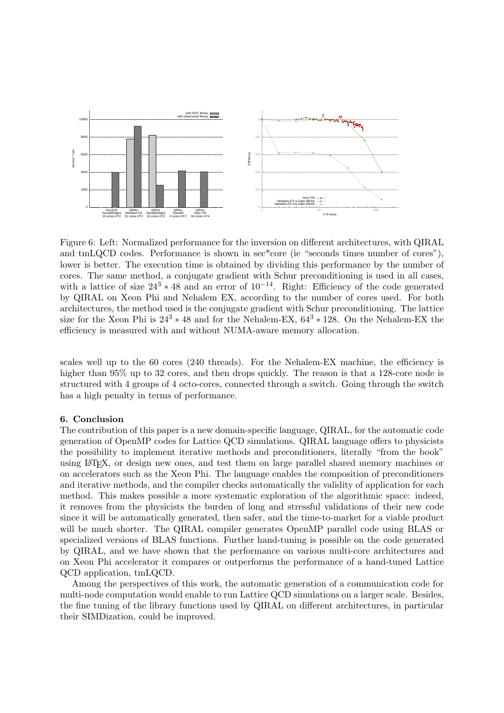

Figure 6: Left: Normalized performance for the inversion on different architectures, with QIRAL and tmLQCD codes. Performance is shown in sec\*core (ie "seconds times number of cores"), lower is better. The execution time is obtained by dividing this performance by the number of cores. The same method, a conjugate gradient with Schur preconditioning is used in all cases, with a lattice of size  $24^3 * 48$  and an error of  $10^{-14}$ . Right: Efficiency of the code generated by QIRAL on Xeon Phi and Nehalem EX, according to the number of cores used. For both architectures, the method used is the conjugate gradient with Schur preconditioning. The lattice size for the Xeon Phi is  $24^3 * 48$  and for the Nehalem-EX,  $64^3 * 128$ . On the Nehalem-EX the efficiency is measured with and without NUMA-aware memory allocation.

scales well up to the 60 cores (240 threads). For the Nehalem-EX machine, the efficiency is higher than 95% up to 32 cores, and then drops quickly. The reason is that a 128-core node is structured with 4 groups of 4 octo-cores, connected through a switch. Going through the switch has a high penalty in terms of performance.

#### 6. Conclusion

The contribution of this paper is a new domain-specific language, QIRAL, for the automatic code generation of OpenMP codes for Lattice QCD simulations. QIRAL language offers to physicists the possibility to implement iterative methods and preconditioners, literally "from the book" using LATEX, or design new ones, and test them on large parallel shared memory machines or on accelerators such as the Xeon Phi. The language enables the composition of preconditioners and iterative methods, and the compiler checks automatically the validity of application for each method. This makes possible a more systematic exploration of the algorithmic space: indeed, it removes from the physicists the burden of long and stressful validations of their new code since it will be automatically generated, then safer, and the time-to-market for a viable product will be much shorter. The QIRAL compiler generates OpenMP parallel code using BLAS or specialized versions of BLAS functions. Further hand-tuning is possible on the code generated by QIRAL, and we have shown that the performance on various multi-core architectures and on Xeon Phi accelerator it compares or outperforms the performance of a hand-tuned Lattice QCD application, tmLQCD.

Among the perspectives of this work, the automatic generation of a communication code for multi-node computation would enable to run Lattice QCD simulations on a larger scale. Besides, the fine tuning of the library functions used by QIRAL on different architectures, in particular their SIMDization, could be improved.